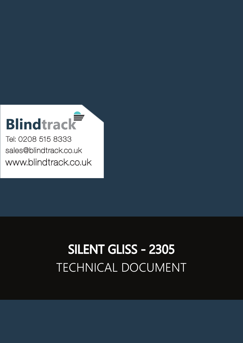## **Blindtrack**

Tel: 0208 515 8333 [sales@blindtrack.co.uk](mailto:sales%40blindtrack.co.uk?subject=) [www.blindtrack.co.uk](http://www.blindtrack.co.uk)

## TECHNICAL DOCUMENT SILENT GLISS - 2305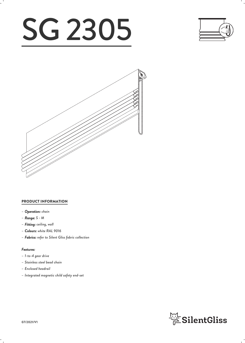# SG 2305





#### PRODUCT INFORMATION

- *– Operation: chain*
- *– Range: S M*
- *– Fitting: ceiling, wall*
- *– Colours: white RAL 9016*
- *– Fabrics: refer to Silent Gliss fabric collection*

#### *Features:*

- *– 1-to-4 gear drive*
- *– Stainless steel bead chain*
- *– Enclosed headrail*
- *– Integrated magnetic child safety end-set*

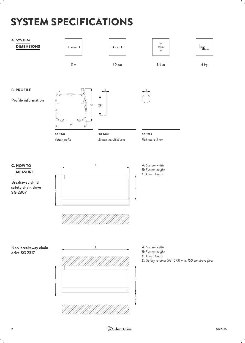## SYSTEM SPECIFICATIONS

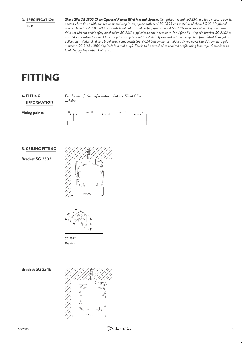**D. SPECIFICATION** 

*Silent Gliss SG 2305 Chain Operated Roman Blind Headrail System. Comprises headrail SG 2301 made to measure powder* SPECIFICATION *coated white finish with bonded hook and loop insert, spools with cord SG 2308 and metal bead chain SG 2311 (optional plastic chain SG 2310). Left / right side hand pull via child safety gear drive set SG 2307 includes endcap, (optional gear* TEXT *drive set without child safety mechanism SG 2317 supplied with chain retainer). Top / face fix using clip bracket SG 2302 at max. 90cm centres (optional face / top fix clamp bracket SG 2346). If supplied with made up blind from Silent Gliss fabric collection includes child safe breakaway components SG 31624 bottom bar set, SG 3069 rod cover (hard / semi hard fold makeup), SG 3165 / 3166 ring (soft fold make-up). Fabric to be attached to headrail profile using loop tape. Compliant to Child Safety Legislation EN 13120.*

## FITTING

#### INFORMATION **A. FITTING**

*For detailed fitting information, visit the Silent Gliss* FITTING *website.*

**Fixing points**

| 50 | max. 900 | max. 900<br>. . |  |
|----|----------|-----------------|--|
|    |          |                 |  |
|    |          |                 |  |
|    |          |                 |  |

#### B. CEILING FITTING

**Bracket SG 2302**





*SG 2302 Bracket*

**Bracket SG 2346**

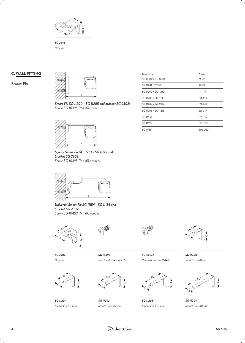

*SG 2346 Bracket*

#### C. WALL FITTING

**Smart Fix**



*Smart Fix SG 11200 - SG 11205 and bracket SG 2302: Screw SG 10395 (M4x6) needed.*



*Square Smart Fix SG 11210 - SG 11215 and bracket SG 2302: Screw SG 10395 (M4x6) needed.*



*Universal Smart Fix SG 11154 - SG 11156 and bracket SG 2302: Screw SG 10492 (M4x8) needed.*



*Bracket*



*SG 2302*



*SG 11201*



*Smart Fix 80 mm*



*SG 10395 Pan head screw M4x6 Pan head screw M4x8 SG 10492 SG 11200*



*SG 11202 Smart Fix 100 mm*



*Smart Fix 60 mm*



*SG 11203 SG 11204 Smart Fix 120 mm Smart Fix 150 mm*

| <b>Smart Fix</b>    | $X$ mm      |  |
|---------------------|-------------|--|
| SG 11200 / SG 11210 | $71 - 79$   |  |
| SG 11201 / SG 11211 | $91 - 99$   |  |
| SG 11202 / SG 11212 | $111 - 119$ |  |
| SG 11203 / SG 11213 | 131-139     |  |
| SG 11204 / SG 11214 | $161 - 164$ |  |
| SG 11205 / SG 11215 | $211 - 219$ |  |
| SG 11154            | $126 - 152$ |  |
| SG 11155            | 156-182     |  |
| SG 11156            | 206-232     |  |
|                     |             |  |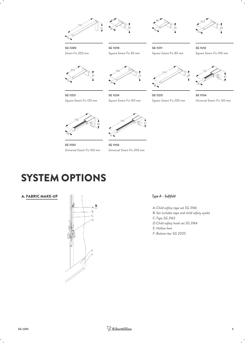





*SG 11213 Square Smart Fix 120 mm*



*Square Smart Fix 60 mm*

*SG 11211*



*Square Smart Fix 80 mm Square Smart Fix 100 mm SG 11212*



*SG 11214 Square Smart Fix 150 mm*



*SG 11215 SG 11154 Square Smart Fix 200 mm Universal Smart Fix 120 mm*





*SG 11155 SG 11156 Universal Smart Fix 150 mm Universal Smart Fix 200 mm*

### SYSTEM OPTIONS

A. FABRIC MAKE-UP



#### *Type A - Softfold*

*Child safety tape set SG 3166 A: Set includes tape and child safety eyelet B: Tape SG 2163 C: Child safety hook set SG 3164 D: Hollow hem E: Bottom bar SG 2005 F:*

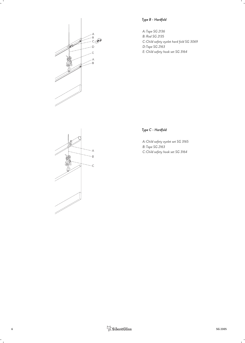

#### *Type B - Hardfold*

*Tape SG 2136 A: Rod SG 2135 B:* C: Child safety eyelet hard fold SG 3069 *Tape SG 2163 D: Child safety hook set SG 3164 E:*



#### *Type C - Hardfold*

*Child safety eyelet set SG 3165 A: Tape SG 2163 B: Child safety hook set SG 3164 C:*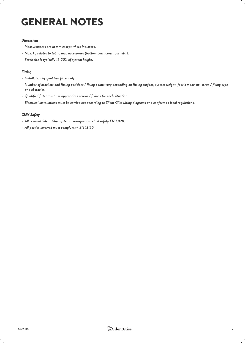## GENERAL NOTES

#### *Dimensions*

- *– Measurements are in mm except where indicated.*
- *– Max. kg relates to fabric incl. accessories (bottom bars, cross rods, etc.).*
- *– Stack size is typically 15-20% of system height.*

#### *Fitting*

- *– Installation by qualified fitter only.*
- *– Number of brackets and fitting positions / fixing points vary depending on fitting surface, system weight, fabric make-up, screw / fixing type and obstacles.*
- *– Qualified fitter must use appropriate screws / fixings for each situation.*
- *– Electrical installations must be carried out according to Silent Gliss wiring diagrams and conform to local regulations.*

#### *Child Safety*

- *– All relevant Silent Gliss systems correspond to child safety EN 13120.*
- *– All parties involved must comply with EN 13120.*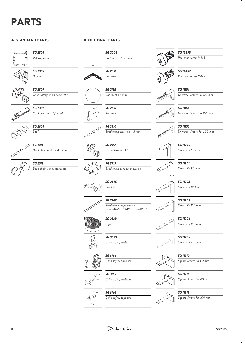## PARTS

#### A. STANDARD PARTS



*SG 2301 Velcro profile*

*SG 2302 Bracket*

*SG 2307*

*SG 2308*

*Shaft*







*SG 2311 Bead chain metal ø 4.5 mm*

*Cord drum with lift cord*

*Child safety chain drive set 4:1*



*SG 2312 Bead chain connector metal*



 $SG 2006$ <br>Bottom bar 28x3 mm *Bottom bar 28x3 mm*





*SG 2135 Rod steel ø 3 mm*

*SG 2136 Rod tape*

*SG 2310*



*Bead chain plastic ø 4.5 mm*

*SG 2317 Chain drive set 4:1*





*SG 2347*

*Bead chain loops plastic 100/150/200/250/300/350/400 cm*

*SG 2539 Tape*

*SG 3069*

*SG 3166*

*Child safety tape set*



((@@)))



*SG 3164 Child safety hook set*

*Child safety eyelet*





*SG 3165 Child safety eyelet set*



*SG 11211 Square Smart Fix 80 mm*



*SG 11212*

*Square Smart Fix 100 mm*





*SG 11156 Universal Smart Fix 200 mm*

*Universal Smart Fix 150 mm*

*Universal Smart Fix 120 mm*



*SG 11200 Smart Fix 60 mm*

*SG 10395*

*SG 10492*

*SG 11154*

*SG 11155*

*Pan head screw M4x6*

*Pan head screw M4x8*



*SG 11201 Smart Fix 80 mm*



*SG 11202 Smart Fix 100 mm*



*Smart Fix 120 mm*



*Smart Fix 150 mm*

*SG 11205*



*SG 11210 Square Smart Fix 60 mm*